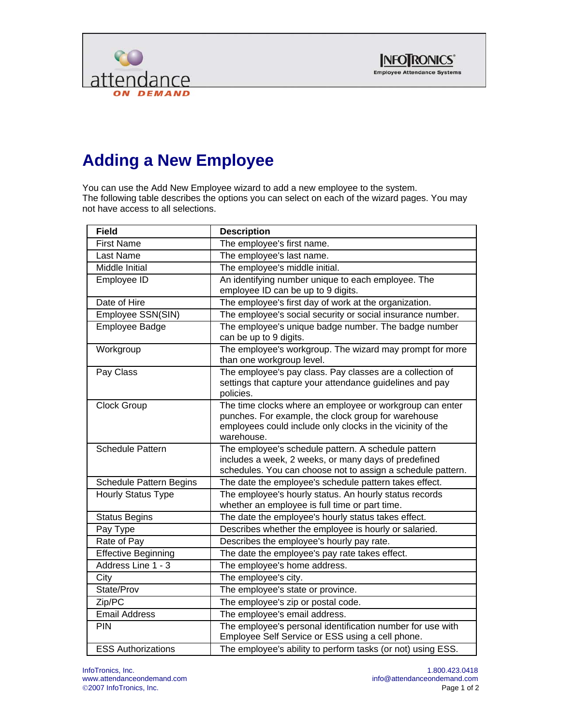



## **Adding a New Employee**

You can use the Add New Employee wizard to add a new employee to the system. The following table describes the options you can select on each of the wizard pages. You may not have access to all selections.

| <b>Field</b>                   | <b>Description</b>                                                                                                                                                                          |
|--------------------------------|---------------------------------------------------------------------------------------------------------------------------------------------------------------------------------------------|
| <b>First Name</b>              | The employee's first name.                                                                                                                                                                  |
| Last Name                      | The employee's last name.                                                                                                                                                                   |
| Middle Initial                 | The employee's middle initial.                                                                                                                                                              |
| Employee ID                    | An identifying number unique to each employee. The<br>employee ID can be up to 9 digits.                                                                                                    |
| Date of Hire                   | The employee's first day of work at the organization.                                                                                                                                       |
| Employee SSN(SIN)              | The employee's social security or social insurance number.                                                                                                                                  |
| <b>Employee Badge</b>          | The employee's unique badge number. The badge number<br>can be up to 9 digits.                                                                                                              |
| Workgroup                      | The employee's workgroup. The wizard may prompt for more<br>than one workgroup level.                                                                                                       |
| Pay Class                      | The employee's pay class. Pay classes are a collection of<br>settings that capture your attendance guidelines and pay<br>policies.                                                          |
| <b>Clock Group</b>             | The time clocks where an employee or workgroup can enter<br>punches. For example, the clock group for warehouse<br>employees could include only clocks in the vicinity of the<br>warehouse. |
| <b>Schedule Pattern</b>        | The employee's schedule pattern. A schedule pattern<br>includes a week, 2 weeks, or many days of predefined<br>schedules. You can choose not to assign a schedule pattern.                  |
| <b>Schedule Pattern Begins</b> | The date the employee's schedule pattern takes effect.                                                                                                                                      |
| <b>Hourly Status Type</b>      | The employee's hourly status. An hourly status records<br>whether an employee is full time or part time.                                                                                    |
| <b>Status Begins</b>           | The date the employee's hourly status takes effect.                                                                                                                                         |
| Pay Type                       | Describes whether the employee is hourly or salaried.                                                                                                                                       |
| Rate of Pay                    | Describes the employee's hourly pay rate.                                                                                                                                                   |
| <b>Effective Beginning</b>     | The date the employee's pay rate takes effect.                                                                                                                                              |
| Address Line 1 - 3             | The employee's home address.                                                                                                                                                                |
| City                           | The employee's city.                                                                                                                                                                        |
| State/Prov                     | The employee's state or province.                                                                                                                                                           |
| Zip/PC                         | The employee's zip or postal code.                                                                                                                                                          |
| <b>Email Address</b>           | The employee's email address.                                                                                                                                                               |
| PIN                            | The employee's personal identification number for use with<br>Employee Self Service or ESS using a cell phone.                                                                              |
| <b>ESS Authorizations</b>      | The employee's ability to perform tasks (or not) using ESS.                                                                                                                                 |